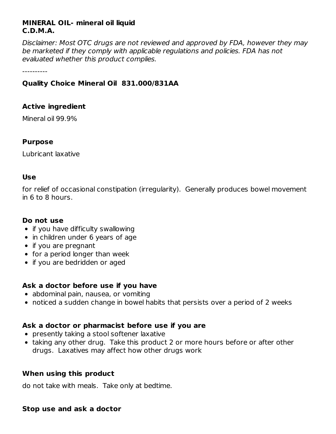## **MINERAL OIL- mineral oil liquid C.D.M.A.**

Disclaimer: Most OTC drugs are not reviewed and approved by FDA, however they may be marketed if they comply with applicable regulations and policies. FDA has not evaluated whether this product complies.

----------

## **Quality Choice Mineral Oil 831.000/831AA**

## **Active ingredient**

Mineral oil 99.9%

#### **Purpose**

Lubricant laxative

#### **Use**

for relief of occasional constipation (irregularity). Generally produces bowel movement in 6 to 8 hours.

## **Do not use**

- $\bullet$  if you have difficulty swallowing
- in children under 6 years of age
- if you are pregnant
- for a period longer than week
- if you are bedridden or aged

## **Ask a doctor before use if you have**

- abdominal pain, nausea, or vomiting
- noticed a sudden change in bowel habits that persists over a period of 2 weeks

## **Ask a doctor or pharmacist before use if you are**

- presently taking a stool softener laxative
- taking any other drug. Take this product 2 or more hours before or after other drugs. Laxatives may affect how other drugs work

#### **When using this product**

do not take with meals. Take only at bedtime.

#### **Stop use and ask a doctor**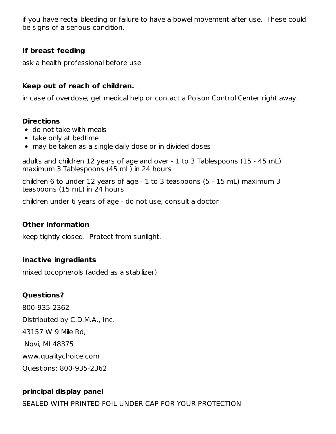if you have rectal bleeding or failure to have a bowel movement after use. These could be signs of a serious condition.

## **If breast feeding**

ask a health professional before use

#### **Keep out of reach of children.**

in case of overdose, get medical help or contact a Poison Control Center right away.

#### **Directions**

- do not take with meals
- take only at bedtime
- may be taken as a single daily dose or in divided doses

adults and children 12 years of age and over - 1 to 3 Tablespoons (15 - 45 mL) maximum 3 Tablespoons (45 mL) in 24 hours

children 6 to under 12 years of age - 1 to 3 teaspoons (5 - 15 mL) maximum 3 teaspoons (15 mL) in 24 hours

children under 6 years of age - do not use, consult a doctor

#### **Other information**

keep tightly closed. Protect from sunlight.

#### **Inactive ingredients**

mixed tocopherols (added as a stabilizer)

## **Questions?**

800-935-2362 Distributed by C.D.M.A., Inc. 43157 W 9 Mile Rd, Novi, MI 48375 www.qualitychoice.com Questions: 800-935-2362

## **principal display panel**

SEALED WITH PRINTED FOIL UNDER CAP FOR YOUR PROTECTION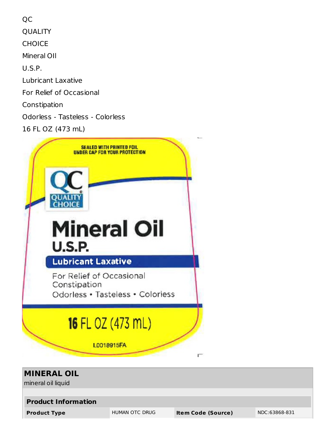QC QUALITY **CHOICE** Mineral OIl U.S.P. Lubricant Laxative For Relief of Occasional Constipation Odorless - Tasteless - Colorless 16 FL OZ (473 mL)



| <b>MINERAL OIL</b><br>mineral oil liquid |                |                           |               |  |  |  |
|------------------------------------------|----------------|---------------------------|---------------|--|--|--|
| <b>Product Information</b>               |                |                           |               |  |  |  |
| <b>Product Type</b>                      | HUMAN OTC DRUG | <b>Item Code (Source)</b> | NDC:63868-831 |  |  |  |